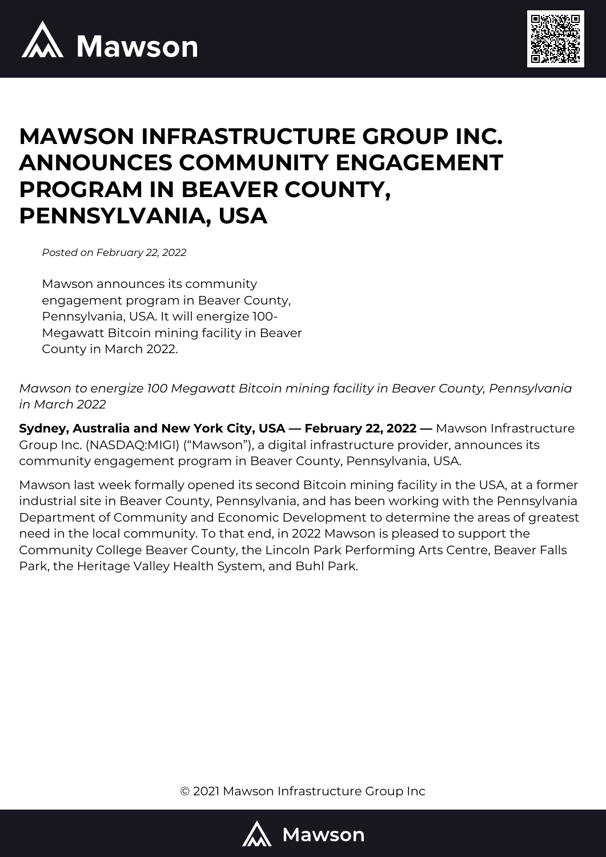



# **MAWSON INFRASTRUCTURE GROUP INC. ANNOUNCES COMMUNITY ENGAGEMENT PROGRAM IN BEAVER COUNTY, PENNSYLVANIA, USA**

*Posted on February 22, 2022*

Mawson announces its community engagement program in Beaver County, Pennsylvania, USA. It will energize 100- Megawatt Bitcoin mining facility in Beaver County in March 2022.

*Mawson to energize 100 Megawatt Bitcoin mining facility in Beaver County, Pennsylvania in March 2022*

**Sydney, Australia and New York City, USA — February 22, 2022 —** Mawson Infrastructure Group Inc. (NASDAQ:MIGI) ("Mawson"), a digital infrastructure provider, announces its community engagement program in Beaver County, Pennsylvania, USA.

Mawson last week formally opened its second Bitcoin mining facility in the USA, at a former industrial site in Beaver County, Pennsylvania, and has been working with the Pennsylvania Department of Community and Economic Development to determine the areas of greatest need in the local community. To that end, in 2022 Mawson is pleased to support the Community College Beaver County, the Lincoln Park Performing Arts Centre, Beaver Falls Park, the Heritage Valley Health System, and Buhl Park.

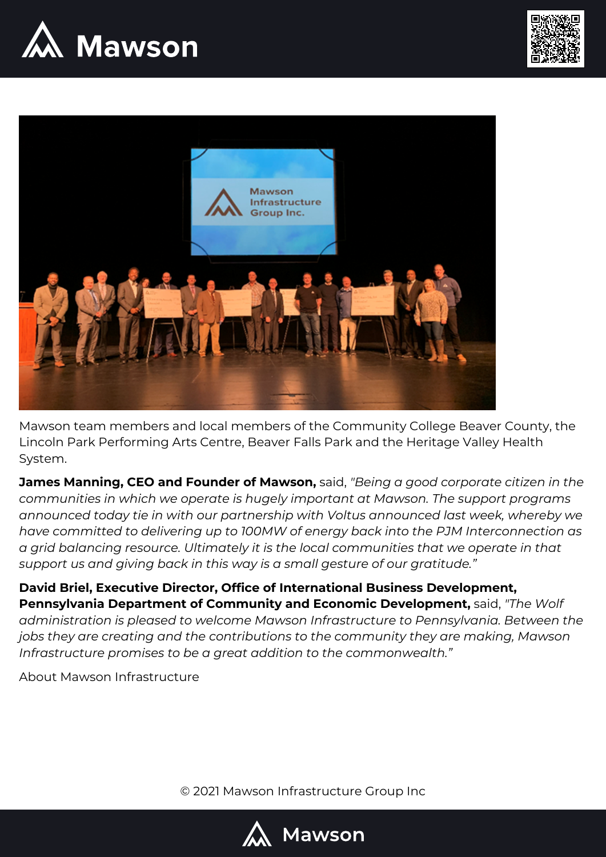





Mawson team members and local members of the Community College Beaver County, the Lincoln Park Performing Arts Centre, Beaver Falls Park and the Heritage Valley Health System.

**James Manning, CEO and Founder of Mawson,** said, *"Being a good corporate citizen in the communities in which we operate is hugely important at Mawson. The support programs announced today tie in with our partnership with Voltus announced last week, whereby we have committed to delivering up to 100MW of energy back into the PJM Interconnection as a grid balancing resource. Ultimately it is the local communities that we operate in that support us and giving back in this way is a small gesture of our gratitude."*

**David Briel, Executive Director, Office of International Business Development, Pennsylvania Department of Community and Economic Development,** said, *"The Wolf administration is pleased to welcome Mawson Infrastructure to Pennsylvania. Between the jobs they are creating and the contributions to the community they are making, Mawson Infrastructure promises to be a great addition to the commonwealth."*

About Mawson Infrastructure

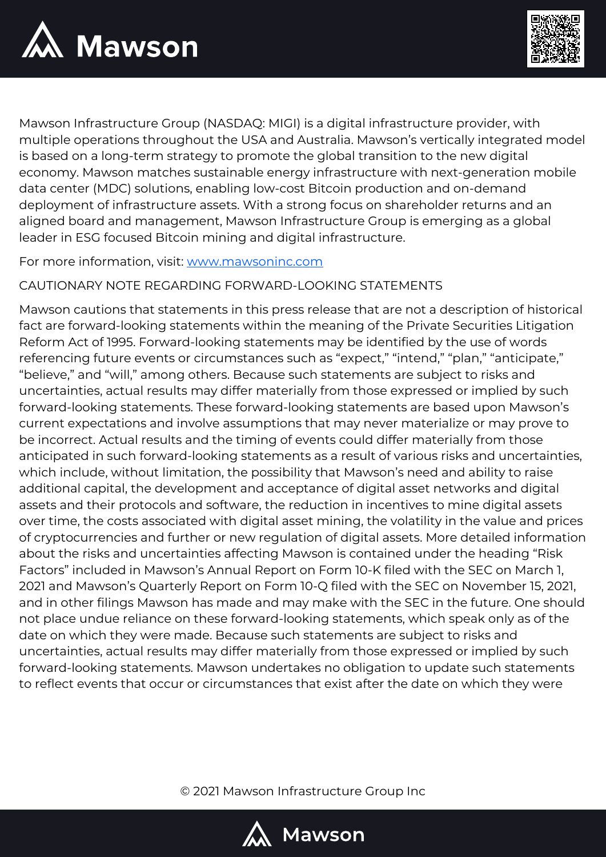



Mawson Infrastructure Group (NASDAQ: MIGI) is a digital infrastructure provider, with multiple operations throughout the USA and Australia. Mawson's vertically integrated model is based on a long-term strategy to promote the global transition to the new digital economy. Mawson matches sustainable energy infrastructure with next-generation mobile data center (MDC) solutions, enabling low-cost Bitcoin production and on-demand deployment of infrastructure assets. With a strong focus on shareholder returns and an aligned board and management, Mawson Infrastructure Group is emerging as a global leader in ESG focused Bitcoin mining and digital infrastructure.

### For more information, visit: [www.mawsoninc.com](https://www.mawsoninc.com)

## CAUTIONARY NOTE REGARDING FORWARD-LOOKING STATEMENTS

Mawson cautions that statements in this press release that are not a description of historical fact are forward-looking statements within the meaning of the Private Securities Litigation Reform Act of 1995. Forward-looking statements may be identified by the use of words referencing future events or circumstances such as "expect," "intend," "plan," "anticipate," "believe," and "will," among others. Because such statements are subject to risks and uncertainties, actual results may differ materially from those expressed or implied by such forward-looking statements. These forward-looking statements are based upon Mawson's current expectations and involve assumptions that may never materialize or may prove to be incorrect. Actual results and the timing of events could differ materially from those anticipated in such forward-looking statements as a result of various risks and uncertainties, which include, without limitation, the possibility that Mawson's need and ability to raise additional capital, the development and acceptance of digital asset networks and digital assets and their protocols and software, the reduction in incentives to mine digital assets over time, the costs associated with digital asset mining, the volatility in the value and prices of cryptocurrencies and further or new regulation of digital assets. More detailed information about the risks and uncertainties affecting Mawson is contained under the heading "Risk Factors" included in Mawson's Annual Report on Form 10-K filed with the SEC on March 1, 2021 and Mawson's Quarterly Report on Form 10-Q filed with the SEC on November 15, 2021, and in other filings Mawson has made and may make with the SEC in the future. One should not place undue reliance on these forward-looking statements, which speak only as of the date on which they were made. Because such statements are subject to risks and uncertainties, actual results may differ materially from those expressed or implied by such forward-looking statements. Mawson undertakes no obligation to update such statements to reflect events that occur or circumstances that exist after the date on which they were